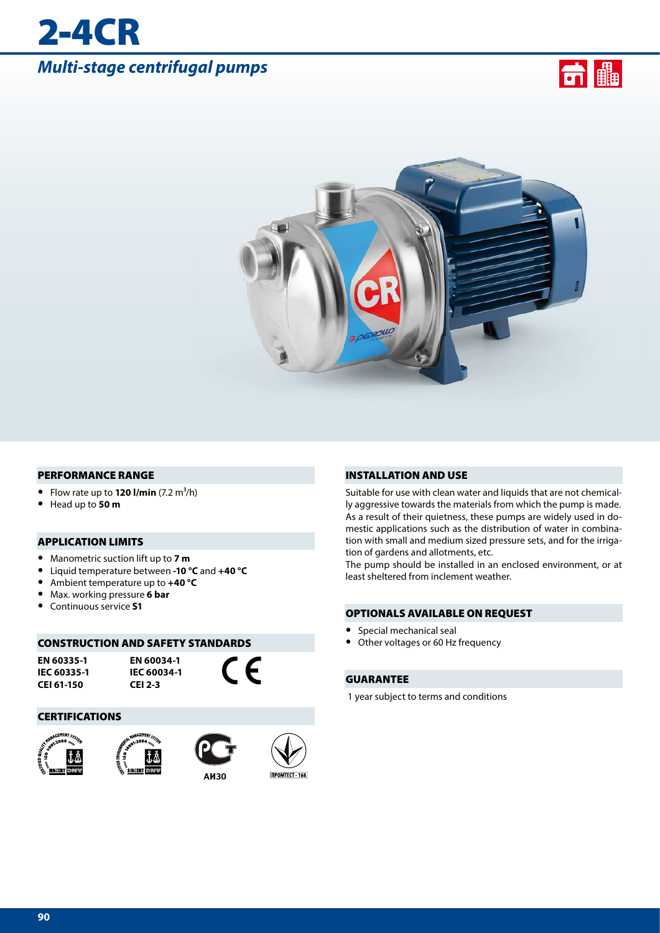# *Multi-stage centrifugal pumps*

2-4CR





#### PERFORMANCE RANGE

- Flow rate up to  $120$  I/min  $(7.2 \text{ m}^3/\text{h})$
- **•** Head up to **50 m**

#### APPLICATION LIMITS

- **•** Manometric suction lift up to **7 m**
- **•** Liquid temperature between **-10 °C** and **+40 °C**
- **•** Ambient temperature up to **+40 °C**
- **•** Max. working pressure **6 bar**
- **•** Continuous service **S1**

#### CONSTRUCTION AND SAFETY STANDARDS

**EN 60335-1 IEC 60335-1 CEI 61-150**

**EN 60034-1 IEC 60034-1 CEI 2-3**

CE

#### **CERTIFICATIONS**









INSTALLATION AND USE

Suitable for use with clean water and liquids that are not chemically aggressive towards the materials from which the pump is made. As a result of their quietness, these pumps are widely used in domestic applications such as the distribution of water in combination with small and medium sized pressure sets, and for the irrigation of gardens and allotments, etc.

The pump should be installed in an enclosed environment, or at least sheltered from inclement weather.

#### OPTIONALS AVAILABLE ON REQUEST

- **•** Special mechanical seal
- **•** Other voltages or 60 Hz frequency

#### GUARANTEE

1 year subject to terms and conditions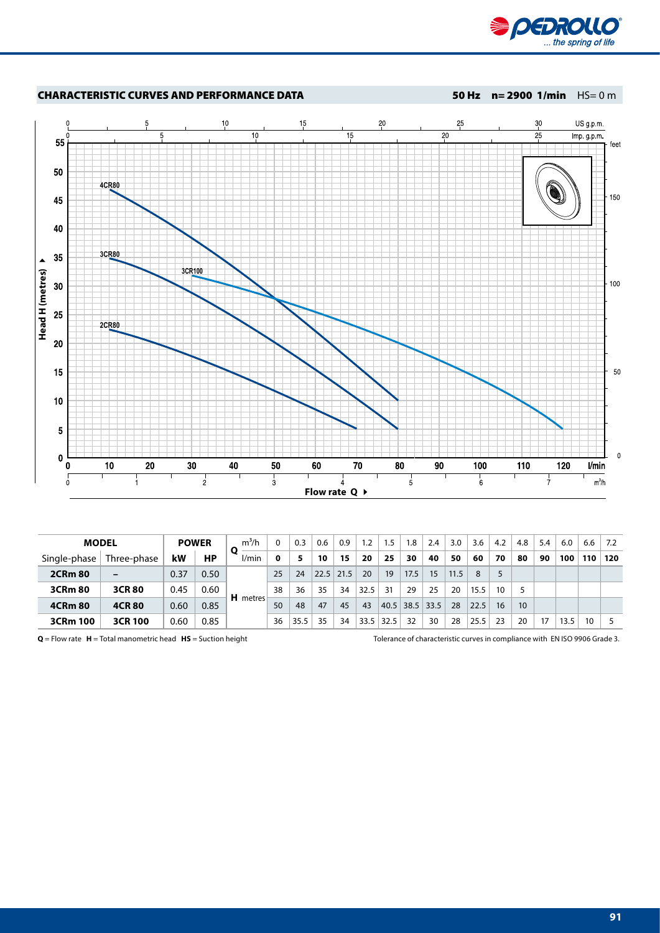



| <b>MODEL</b>   |                |      | $m^3/h$<br><b>POWER</b> |                 |              | 0.3  | 0.6  | 0.9  | 1.2  | 1.5  | 8.،  | 2.4  | 3.0  | 3.6  | 4.2 | 4.8              | 5.4 | 6.0  | 6.6 | 7.2 |
|----------------|----------------|------|-------------------------|-----------------|--------------|------|------|------|------|------|------|------|------|------|-----|------------------|-----|------|-----|-----|
| Single-phase   | Three-phase    | kW   | НP                      | l/min           | <sup>0</sup> | 5.   | 10   | 15   | 20   | 25   | 30   | 40   | 50   | 60   | 70  | 80               | 90  | 100  | 110 | 120 |
| <b>2CRm 80</b> |                | 0.37 | 0.50                    |                 | 25           | 24   | 22.5 | 21.5 | 20   | 19   | 17.5 | 15   | 11.5 | 8    |     |                  |     |      |     |     |
| 3CRm 80        | <b>3CR80</b>   | 0.45 | 0.60                    |                 | 38           | 36   | 35   | 34   | 32.5 | 31   | 29   | 25   | 20   | 15.5 | 10  |                  |     |      |     |     |
| <b>4CRm 80</b> | <b>4CR80</b>   | 0.60 | 0.85                    | <b>H</b> metres | 50           | 48   | 47   | 45   | 43   | 40.5 | 38.5 | 33.5 | 28   | 22.5 | 16  | 10 <sup>10</sup> |     |      |     |     |
| 3CRm 100       | <b>3CR 100</b> | 0.60 | 0.85                    |                 | 36           | 35.5 | 35   | 34   | 33.5 | 32.5 | 32   | 30   | 28   | 25.5 | 23  | 20               | 17  | 13.5 | 10  |     |

**Q** = Flow rate **H** = Total manometric head **HS** = Suction height Tolerance of characteristic curves in compliance with EN ISO 9906 Grade 3.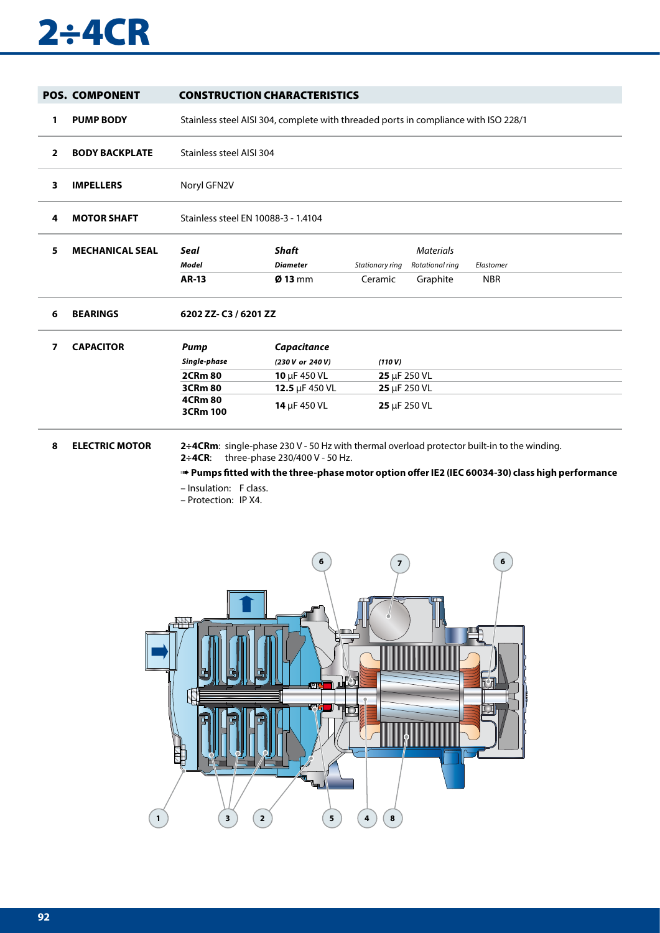# 2÷4CR

|                | <b>POS. COMPONENT</b>  | <b>CONSTRUCTION CHARACTERISTICS</b> |                                                                                     |                           |                  |                                                                                             |  |  |  |  |  |  |
|----------------|------------------------|-------------------------------------|-------------------------------------------------------------------------------------|---------------------------|------------------|---------------------------------------------------------------------------------------------|--|--|--|--|--|--|
| 1              | <b>PUMP BODY</b>       |                                     | Stainless steel AISI 304, complete with threaded ports in compliance with ISO 228/1 |                           |                  |                                                                                             |  |  |  |  |  |  |
| $\overline{2}$ | <b>BODY BACKPLATE</b>  |                                     | Stainless steel AISI 304                                                            |                           |                  |                                                                                             |  |  |  |  |  |  |
| 3              | <b>IMPELLERS</b>       | Noryl GFN2V                         |                                                                                     |                           |                  |                                                                                             |  |  |  |  |  |  |
| 4              | <b>MOTOR SHAFT</b>     |                                     | Stainless steel EN 10088-3 - 1.4104                                                 |                           |                  |                                                                                             |  |  |  |  |  |  |
| 5              | <b>MECHANICAL SEAL</b> | <b>Seal</b>                         | <b>Shaft</b>                                                                        |                           | <b>Materials</b> |                                                                                             |  |  |  |  |  |  |
|                |                        | Model                               | <b>Diameter</b>                                                                     | Stationary ring           | Rotational ring  | Elastomer                                                                                   |  |  |  |  |  |  |
|                |                        | <b>AR-13</b>                        | $Ø$ 13 mm                                                                           | Ceramic                   | Graphite         | <b>NBR</b>                                                                                  |  |  |  |  |  |  |
| 6              | <b>BEARINGS</b>        | 6202 ZZ-C3 / 6201 ZZ                |                                                                                     |                           |                  |                                                                                             |  |  |  |  |  |  |
| $\overline{7}$ | <b>CAPACITOR</b>       | <b>Pump</b>                         | Capacitance                                                                         |                           |                  |                                                                                             |  |  |  |  |  |  |
|                |                        | Single-phase                        | (230 V or 240 V)                                                                    | (110 V)                   |                  |                                                                                             |  |  |  |  |  |  |
|                |                        | <b>2CRm 80</b>                      | 10 µF 450 VL                                                                        | $25 \mu F 250 \text{ VL}$ |                  |                                                                                             |  |  |  |  |  |  |
|                |                        | <b>3CRm 80</b>                      | 12.5 µF 450 VL                                                                      | 25 µF 250 VL              |                  |                                                                                             |  |  |  |  |  |  |
|                |                        | <b>4CRm 80</b><br>3CRm 100          | 14 µF 450 VL                                                                        | 25 µF 250 VL              |                  |                                                                                             |  |  |  |  |  |  |
| 8              | <b>ELECTRIC MOTOR</b>  |                                     |                                                                                     |                           |                  | 2÷4CRm: single-phase 230 V - 50 Hz with thermal overload protector built-in to the winding. |  |  |  |  |  |  |

**2÷4CR**: three-phase 230/400 V - 50 Hz.

➠ **Pumps fitted with the three-phase motor option offer IE2 (IEC 60034-30) class high performance**

- Insulation: F class.
- Protection: IP X4.